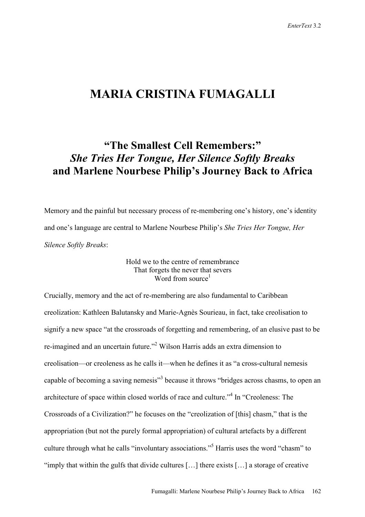## **MARIA CRISTINA FUMAGALLI**

# **"The Smallest Cell Remembers:"**  *She Tries Her Tongue, Her Silence Softly Breaks*  **and Marlene Nourbese Philip's Journey Back to Africa**

Memory and the painful but necessary process of re-membering one's history, one's identity and one's language are central to Marlene Nourbese Philip's *She Tries Her Tongue, Her Silence Softly Breaks*:

### Hold we to the centre of remembrance That forgets the never that severs Word from source $<sup>1</sup>$ </sup>

Crucially, memory and the act of re-membering are also fundamental to Caribbean creolization: Kathleen Balutansky and Marie-Agnès Sourieau, in fact, take creolisation to signify a new space "at the crossroads of forgetting and remembering, of an elusive past to be re-imagined and an uncertain future."<sup>2</sup> Wilson Harris adds an extra dimension to creolisation—or creoleness as he calls it—when he defines it as "a cross-cultural nemesis capable of becoming a saving nemesis<sup>33</sup> because it throws "bridges across chasms, to open an architecture of space within closed worlds of race and culture."4 In "Creoleness: The Crossroads of a Civilization?" he focuses on the "creolization of [this] chasm," that is the appropriation (but not the purely formal appropriation) of cultural artefacts by a different culture through what he calls "involuntary associations."<sup>5</sup> Harris uses the word "chasm" to "imply that within the gulfs that divide cultures […] there exists […] a storage of creative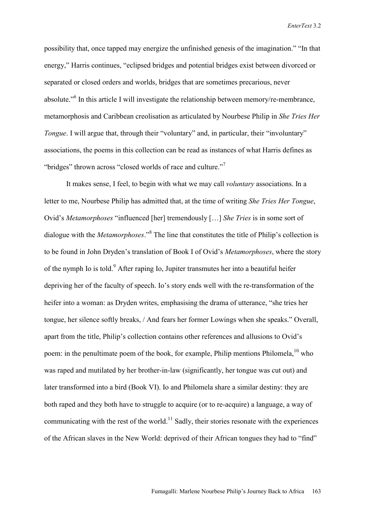possibility that, once tapped may energize the unfinished genesis of the imagination." "In that energy," Harris continues, "eclipsed bridges and potential bridges exist between divorced or separated or closed orders and worlds, bridges that are sometimes precarious, never absolute."<sup>6</sup> In this article I will investigate the relationship between memory/re-membrance, metamorphosis and Caribbean creolisation as articulated by Nourbese Philip in *She Tries Her Tongue*. I will argue that, through their "voluntary" and, in particular, their "involuntary" associations, the poems in this collection can be read as instances of what Harris defines as "bridges" thrown across "closed worlds of race and culture."<sup>7</sup>

It makes sense, I feel, to begin with what we may call *voluntary* associations. In a letter to me, Nourbese Philip has admitted that, at the time of writing *She Tries Her Tongue*, Ovid's *Metamorphoses* "influenced [her] tremendously […] *She Tries* is in some sort of dialogue with the *Metamorphoses*."<sup>8</sup> The line that constitutes the title of Philip's collection is to be found in John Dryden's translation of Book I of Ovid's *Metamorphoses*, where the story of the nymph Io is told.<sup>9</sup> After raping Io, Jupiter transmutes her into a beautiful heifer depriving her of the faculty of speech. Io's story ends well with the re-transformation of the heifer into a woman: as Dryden writes, emphasising the drama of utterance, "she tries her tongue, her silence softly breaks, / And fears her former Lowings when she speaks." Overall, apart from the title, Philip's collection contains other references and allusions to Ovid's poem: in the penultimate poem of the book, for example, Philip mentions Philomela,  $^{10}$  who was raped and mutilated by her brother-in-law (significantly, her tongue was cut out) and later transformed into a bird (Book VI). Io and Philomela share a similar destiny: they are both raped and they both have to struggle to acquire (or to re-acquire) a language, a way of communicating with the rest of the world.<sup>11</sup> Sadly, their stories resonate with the experiences of the African slaves in the New World: deprived of their African tongues they had to "find"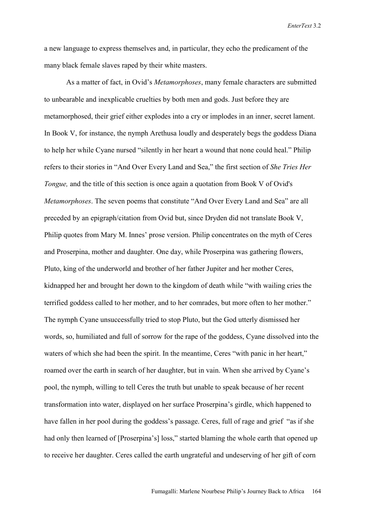a new language to express themselves and, in particular, they echo the predicament of the many black female slaves raped by their white masters.

As a matter of fact, in Ovid's *Metamorphoses*, many female characters are submitted to unbearable and inexplicable cruelties by both men and gods. Just before they are metamorphosed, their grief either explodes into a cry or implodes in an inner, secret lament. In Book V, for instance, the nymph Arethusa loudly and desperately begs the goddess Diana to help her while Cyane nursed "silently in her heart a wound that none could heal." Philip refers to their stories in "And Over Every Land and Sea," the first section of *She Tries Her Tongue*, and the title of this section is once again a quotation from Book V of Ovid's *Metamorphoses*. The seven poems that constitute "And Over Every Land and Sea" are all preceded by an epigraph/citation from Ovid but, since Dryden did not translate Book V, Philip quotes from Mary M. Innes' prose version. Philip concentrates on the myth of Ceres and Proserpina, mother and daughter. One day, while Proserpina was gathering flowers, Pluto, king of the underworld and brother of her father Jupiter and her mother Ceres, kidnapped her and brought her down to the kingdom of death while "with wailing cries the terrified goddess called to her mother, and to her comrades, but more often to her mother." The nymph Cyane unsuccessfully tried to stop Pluto, but the God utterly dismissed her words, so, humiliated and full of sorrow for the rape of the goddess, Cyane dissolved into the waters of which she had been the spirit. In the meantime, Ceres "with panic in her heart," roamed over the earth in search of her daughter, but in vain. When she arrived by Cyane's pool, the nymph, willing to tell Ceres the truth but unable to speak because of her recent transformation into water, displayed on her surface Proserpina's girdle, which happened to have fallen in her pool during the goddess's passage. Ceres, full of rage and grief "as if she had only then learned of [Proserpina's] loss," started blaming the whole earth that opened up to receive her daughter. Ceres called the earth ungrateful and undeserving of her gift of corn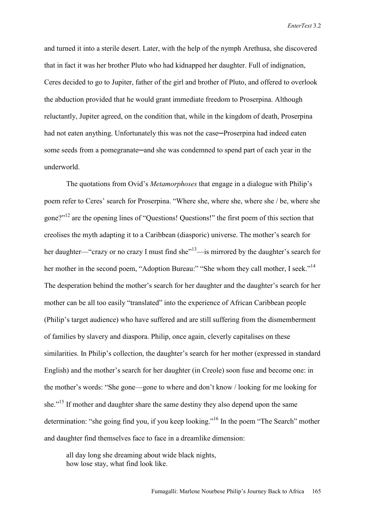and turned it into a sterile desert. Later, with the help of the nymph Arethusa, she discovered that in fact it was her brother Pluto who had kidnapped her daughter. Full of indignation, Ceres decided to go to Jupiter, father of the girl and brother of Pluto, and offered to overlook the abduction provided that he would grant immediate freedom to Proserpina. Although reluctantly, Jupiter agreed, on the condition that, while in the kingdom of death, Proserpina had not eaten anything. Unfortunately this was not the case—Proserpina had indeed eaten some seeds from a pomegranate—and she was condemned to spend part of each year in the underworld.

 The quotations from Ovid's *Metamorphoses* that engage in a dialogue with Philip's poem refer to Ceres' search for Proserpina. "Where she, where she, where she / be, where she gone?"12 are the opening lines of "Questions! Questions!" the first poem of this section that creolises the myth adapting it to a Caribbean (diasporic) universe. The mother's search for her daughter—"crazy or no crazy I must find she"<sup>13</sup>—is mirrored by the daughter's search for her mother in the second poem, "Adoption Bureau:" "She whom they call mother, I seek."<sup>14</sup> The desperation behind the mother's search for her daughter and the daughter's search for her mother can be all too easily "translated" into the experience of African Caribbean people (Philip's target audience) who have suffered and are still suffering from the dismemberment of families by slavery and diaspora. Philip, once again, cleverly capitalises on these similarities. In Philip's collection, the daughter's search for her mother (expressed in standard English) and the mother's search for her daughter (in Creole) soon fuse and become one: in the mother's words: "She gone—gone to where and don't know / looking for me looking for she."<sup>15</sup> If mother and daughter share the same destiny they also depend upon the same determination: "she going find you, if you keep looking."16 In the poem "The Search" mother and daughter find themselves face to face in a dreamlike dimension:

 all day long she dreaming about wide black nights, how lose stay, what find look like.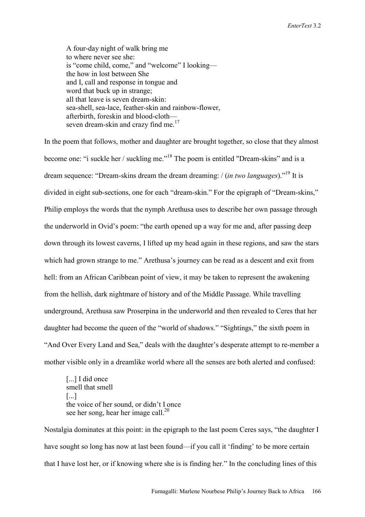A four-day night of walk bring me to where never see she: is "come child, come," and "welcome" I looking the how in lost between She and I, call and response in tongue and word that buck up in strange; all that leave is seven dream-skin: sea-shell, sea-lace, feather-skin and rainbow-flower, afterbirth, foreskin and blood-cloth seven dream-skin and crazy find me.<sup>17</sup>

In the poem that follows, mother and daughter are brought together, so close that they almost become one: "i suckle her / suckling me."<sup>18</sup> The poem is entitled "Dream-skins" and is a dream sequence: "Dream-skins dream the dream dreaming: / (*in two languages*)."19 It is divided in eight sub-sections, one for each "dream-skin." For the epigraph of "Dream-skins," Philip employs the words that the nymph Arethusa uses to describe her own passage through the underworld in Ovid's poem: "the earth opened up a way for me and, after passing deep down through its lowest caverns, I lifted up my head again in these regions, and saw the stars which had grown strange to me." Arethusa's journey can be read as a descent and exit from hell: from an African Caribbean point of view, it may be taken to represent the awakening from the hellish, dark nightmare of history and of the Middle Passage. While travelling underground, Arethusa saw Proserpina in the underworld and then revealed to Ceres that her daughter had become the queen of the "world of shadows." "Sightings," the sixth poem in "And Over Every Land and Sea," deals with the daughter's desperate attempt to re-member a mother visible only in a dreamlike world where all the senses are both alerted and confused:

[...] I did once smell that smell [...] the voice of her sound, or didn't I once see her song, hear her image call. $^{20}$ 

Nostalgia dominates at this point: in the epigraph to the last poem Ceres says, "the daughter I have sought so long has now at last been found—if you call it 'finding' to be more certain that I have lost her, or if knowing where she is is finding her." In the concluding lines of this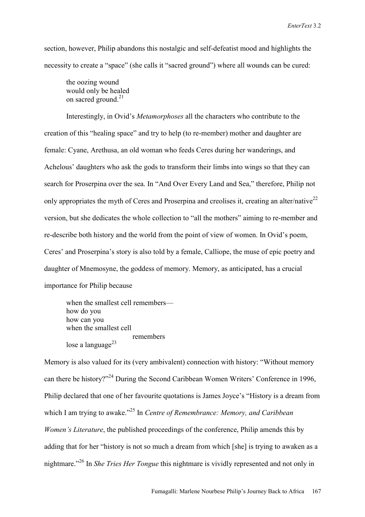section, however, Philip abandons this nostalgic and self-defeatist mood and highlights the necessity to create a "space" (she calls it "sacred ground") where all wounds can be cured:

 the oozing wound would only be healed on sacred ground.<sup>21</sup>

Interestingly, in Ovid's *Metamorphoses* all the characters who contribute to the creation of this "healing space" and try to help (to re-member) mother and daughter are female: Cyane, Arethusa, an old woman who feeds Ceres during her wanderings, and Achelous' daughters who ask the gods to transform their limbs into wings so that they can search for Proserpina over the sea. In "And Over Every Land and Sea," therefore, Philip not only appropriates the myth of Ceres and Proserpina and creolises it, creating an alter/native $^{22}$ version, but she dedicates the whole collection to "all the mothers" aiming to re-member and re-describe both history and the world from the point of view of women. In Ovid's poem, Ceres' and Proserpina's story is also told by a female, Calliope, the muse of epic poetry and daughter of Mnemosyne, the goddess of memory. Memory, as anticipated, has a crucial importance for Philip because

 when the smallest cell remembers how do you how can you when the smallest cell remembers lose a language $^{23}$ 

Memory is also valued for its (very ambivalent) connection with history: "Without memory can there be history?"24 During the Second Caribbean Women Writers' Conference in 1996, Philip declared that one of her favourite quotations is James Joyce's "History is a dream from which I am trying to awake.<sup>25</sup> In *Centre of Remembrance: Memory, and Caribbean Women's Literature*, the published proceedings of the conference, Philip amends this by adding that for her "history is not so much a dream from which [she] is trying to awaken as a nightmare."26 In *She Tries Her Tongue* this nightmare is vividly represented and not only in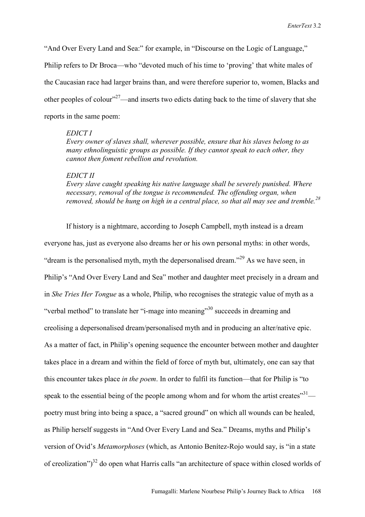"And Over Every Land and Sea:" for example, in "Discourse on the Logic of Language," Philip refers to Dr Broca—who "devoted much of his time to 'proving' that white males of the Caucasian race had larger brains than, and were therefore superior to, women, Blacks and other peoples of colour<sup> $27$ </sup>—and inserts two edicts dating back to the time of slavery that she reports in the same poem:

### *EDICT I*

 *Every owner of slaves shall, wherever possible, ensure that his slaves belong to as many ethnolinguistic groups as possible. If they cannot speak to each other, they cannot then foment rebellion and revolution.* 

### *EDICT II*

*Every slave caught speaking his native language shall be severely punished. Where necessary, removal of the tongue is recommended. The offending organ, when removed, should be hung on high in a central place, so that all may see and tremble.<sup>28</sup>*

 If history is a nightmare, according to Joseph Campbell, myth instead is a dream everyone has, just as everyone also dreams her or his own personal myths: in other words, "dream is the personalised myth, myth the depersonalised dream."<sup>29</sup> As we have seen, in Philip's "And Over Every Land and Sea" mother and daughter meet precisely in a dream and in *She Tries Her Tongue* as a whole, Philip, who recognises the strategic value of myth as a "verbal method" to translate her "i-mage into meaning"<sup>30</sup> succeeds in dreaming and creolising a depersonalised dream/personalised myth and in producing an alter/native epic. As a matter of fact, in Philip's opening sequence the encounter between mother and daughter takes place in a dream and within the field of force of myth but, ultimately, one can say that this encounter takes place *in the poem*. In order to fulfil its function—that for Philip is "to speak to the essential being of the people among whom and for whom the artist creates $^{31}$  poetry must bring into being a space, a "sacred ground" on which all wounds can be healed, as Philip herself suggests in "And Over Every Land and Sea." Dreams, myths and Philip's version of Ovid's *Metamorphoses* (which, as Antonio Benítez-Rojo would say, is "in a state of creolization")<sup>32</sup> do open what Harris calls "an architecture of space within closed worlds of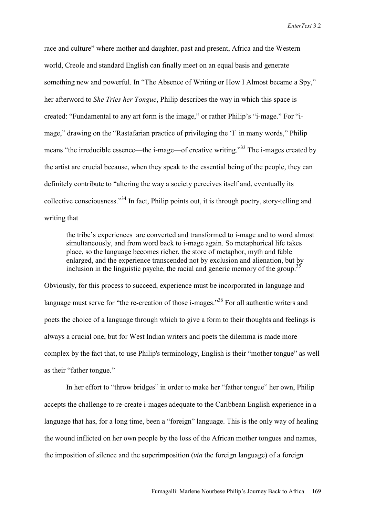race and culture" where mother and daughter, past and present, Africa and the Western world, Creole and standard English can finally meet on an equal basis and generate something new and powerful. In "The Absence of Writing or How I Almost became a Spy," her afterword to *She Tries her Tongue*, Philip describes the way in which this space is created: "Fundamental to any art form is the image," or rather Philip's "i-mage." For "image," drawing on the "Rastafarian practice of privileging the 'I' in many words," Philip means "the irreducible essence—the i-mage—of creative writing."<sup>33</sup> The i-mages created by the artist are crucial because, when they speak to the essential being of the people, they can definitely contribute to "altering the way a society perceives itself and, eventually its collective consciousness."34 In fact, Philip points out, it is through poetry, story-telling and writing that

the tribe's experiences are converted and transformed to i-mage and to word almost simultaneously, and from word back to i-mage again. So metaphorical life takes place, so the language becomes richer, the store of metaphor, myth and fable enlarged, and the experience transcended not by exclusion and alienation, but by inclusion in the linguistic psyche, the racial and generic memory of the group.<sup>35</sup>

Obviously, for this process to succeed, experience must be incorporated in language and language must serve for "the re-creation of those i-mages."<sup>36</sup> For all authentic writers and poets the choice of a language through which to give a form to their thoughts and feelings is always a crucial one, but for West Indian writers and poets the dilemma is made more complex by the fact that, to use Philip's terminology, English is their "mother tongue" as well as their "father tongue."

 In her effort to "throw bridges" in order to make her "father tongue" her own, Philip accepts the challenge to re-create i-mages adequate to the Caribbean English experience in a language that has, for a long time, been a "foreign" language. This is the only way of healing the wound inflicted on her own people by the loss of the African mother tongues and names, the imposition of silence and the superimposition (*via* the foreign language) of a foreign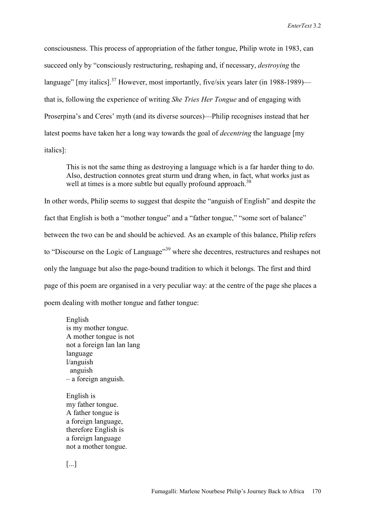consciousness. This process of appropriation of the father tongue, Philip wrote in 1983, can succeed only by "consciously restructuring, reshaping and, if necessary, *destroying* the language"  $\lceil \text{my} \rceil$  italics].<sup>37</sup> However, most importantly, five/six years later (in 1988-1989) that is, following the experience of writing *She Tries Her Tongue* and of engaging with Proserpina's and Ceres' myth (and its diverse sources)—Philip recognises instead that her latest poems have taken her a long way towards the goal of *decentring* the language [my italics]:

This is not the same thing as destroying a language which is a far harder thing to do. Also, destruction connotes great sturm und drang when, in fact, what works just as well at times is a more subtle but equally profound approach.<sup>38</sup>

In other words, Philip seems to suggest that despite the "anguish of English" and despite the fact that English is both a "mother tongue" and a "father tongue," "some sort of balance" between the two can be and should be achieved. As an example of this balance, Philip refers to "Discourse on the Logic of Language"<sup>39</sup> where she decentres, restructures and reshapes not only the language but also the page-bound tradition to which it belongs. The first and third page of this poem are organised in a very peculiar way: at the centre of the page she places a poem dealing with mother tongue and father tongue:

 English is my mother tongue. A mother tongue is not not a foreign lan lan lang language l/anguish anguish – a foreign anguish.

 English is my father tongue. A father tongue is a foreign language, therefore English is a foreign language not a mother tongue.

[...]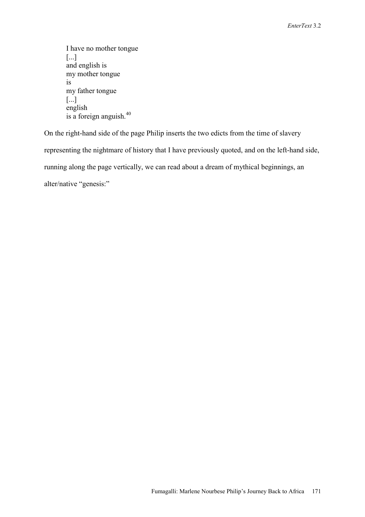```
 I have no mother tongue 
 [...] 
 and english is 
 my mother tongue 
 is 
 my father tongue 
 [...] 
 english 
is a foreign anguish.<sup>40</sup>
```
On the right-hand side of the page Philip inserts the two edicts from the time of slavery representing the nightmare of history that I have previously quoted, and on the left-hand side, running along the page vertically, we can read about a dream of mythical beginnings, an alter/native "genesis:"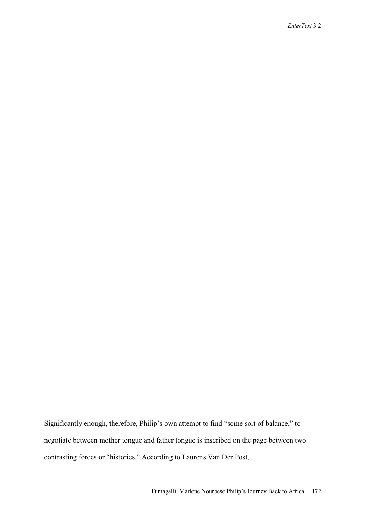Significantly enough, therefore, Philip's own attempt to find "some sort of balance," to negotiate between mother tongue and father tongue is inscribed on the page between two contrasting forces or "histories." According to Laurens Van Der Post,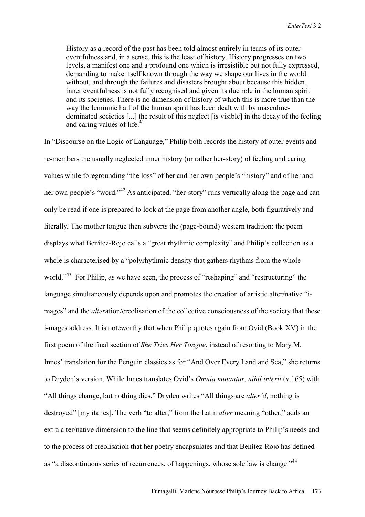History as a record of the past has been told almost entirely in terms of its outer eventfulness and, in a sense, this is the least of history. History progresses on two levels, a manifest one and a profound one which is irresistible but not fully expressed, demanding to make itself known through the way we shape our lives in the world without, and through the failures and disasters brought about because this hidden, inner eventfulness is not fully recognised and given its due role in the human spirit and its societies. There is no dimension of history of which this is more true than the way the feminine half of the human spirit has been dealt with by masculinedominated societies [...] the result of this neglect [is visible] in the decay of the feeling and caring values of life.<sup>41</sup>

In "Discourse on the Logic of Language," Philip both records the history of outer events and re-members the usually neglected inner history (or rather her-story) of feeling and caring values while foregrounding "the loss" of her and her own people's "history" and of her and her own people's "word."<sup>42</sup> As anticipated, "her-story" runs vertically along the page and can only be read if one is prepared to look at the page from another angle, both figuratively and literally. The mother tongue then subverts the (page-bound) western tradition: the poem displays what Benítez-Rojo calls a "great rhythmic complexity" and Philip's collection as a whole is characterised by a "polyrhythmic density that gathers rhythms from the whole world."<sup>43</sup> For Philip, as we have seen, the process of "reshaping" and "restructuring" the language simultaneously depends upon and promotes the creation of artistic alter/native "images" and the *alter*ation/creolisation of the collective consciousness of the society that these i-mages address. It is noteworthy that when Philip quotes again from Ovid (Book XV) in the first poem of the final section of *She Tries Her Tongue*, instead of resorting to Mary M. Innes' translation for the Penguin classics as for "And Over Every Land and Sea," she returns to Dryden's version. While Innes translates Ovid's *Omnia mutantur, nihil interit* (v.165) with "All things change, but nothing dies," Dryden writes "All things are *alter'd*, nothing is destroyed" [my italics]. The verb "to alter," from the Latin *alter* meaning "other," adds an extra alter/native dimension to the line that seems definitely appropriate to Philip's needs and to the process of creolisation that her poetry encapsulates and that Benítez-Rojo has defined as "a discontinuous series of recurrences, of happenings, whose sole law is change."<sup>44</sup>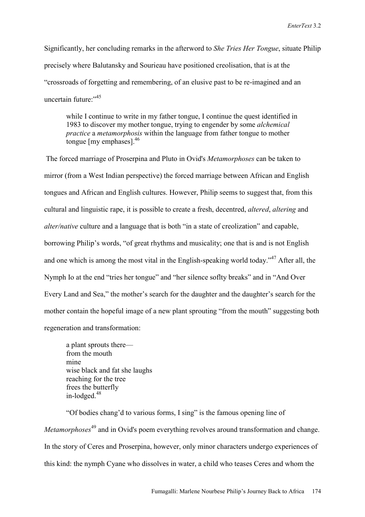Significantly, her concluding remarks in the afterword to *She Tries Her Tongue*, situate Philip precisely where Balutansky and Sourieau have positioned creolisation, that is at the "crossroads of forgetting and remembering, of an elusive past to be re-imagined and an uncertain future<sup>.</sup>"<sup>45</sup>

while I continue to write in my father tongue, I continue the quest identified in 1983 to discover my mother tongue, trying to engender by some *alchemical practice* a *metamorphosis* within the language from father tongue to mother tongue [my emphases].46

 The forced marriage of Proserpina and Pluto in Ovid's *Metamorphoses* can be taken to mirror (from a West Indian perspective) the forced marriage between African and English tongues and African and English cultures. However, Philip seems to suggest that, from this cultural and linguistic rape, it is possible to create a fresh, decentred, *altered*, *altering* and *alter/native* culture and a language that is both "in a state of creolization" and capable, borrowing Philip's words, "of great rhythms and musicality; one that is and is not English and one which is among the most vital in the English-speaking world today.<sup> $347$ </sup> After all, the Nymph Io at the end "tries her tongue" and "her silence soflty breaks" and in "And Over Every Land and Sea," the mother's search for the daughter and the daughter's search for the mother contain the hopeful image of a new plant sprouting "from the mouth" suggesting both regeneration and transformation:

a plant sprouts there from the mouth mine wise black and fat she laughs reaching for the tree frees the butterfly in-lodged.<sup>48</sup>

"Of bodies chang'd to various forms, I sing" is the famous opening line of *Metamorphoses*49 and in Ovid's poem everything revolves around transformation and change. In the story of Ceres and Proserpina, however, only minor characters undergo experiences of this kind: the nymph Cyane who dissolves in water, a child who teases Ceres and whom the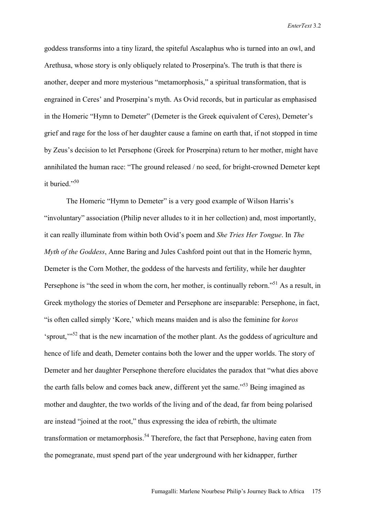goddess transforms into a tiny lizard, the spiteful Ascalaphus who is turned into an owl, and Arethusa, whose story is only obliquely related to Proserpina's. The truth is that there is another, deeper and more mysterious "metamorphosis," a spiritual transformation, that is engrained in Ceres' and Proserpina's myth. As Ovid records, but in particular as emphasised in the Homeric "Hymn to Demeter" (Demeter is the Greek equivalent of Ceres), Demeter's grief and rage for the loss of her daughter cause a famine on earth that, if not stopped in time by Zeus's decision to let Persephone (Greek for Proserpina) return to her mother, might have annihilated the human race: "The ground released / no seed, for bright-crowned Demeter kept it buried."<sup>50</sup>

The Homeric "Hymn to Demeter" is a very good example of Wilson Harris's "involuntary" association (Philip never alludes to it in her collection) and, most importantly, it can really illuminate from within both Ovid's poem and *She Tries Her Tongue*. In *The Myth of the Goddess*, Anne Baring and Jules Cashford point out that in the Homeric hymn, Demeter is the Corn Mother, the goddess of the harvests and fertility, while her daughter Persephone is "the seed in whom the corn, her mother, is continually reborn."<sup>51</sup> As a result, in Greek mythology the stories of Demeter and Persephone are inseparable: Persephone, in fact, "is often called simply 'Kore,' which means maiden and is also the feminine for *koros* 'sprout,'"52 that is the new incarnation of the mother plant. As the goddess of agriculture and hence of life and death, Demeter contains both the lower and the upper worlds. The story of Demeter and her daughter Persephone therefore elucidates the paradox that "what dies above the earth falls below and comes back anew, different yet the same.<sup>553</sup> Being imagined as mother and daughter, the two worlds of the living and of the dead, far from being polarised are instead "joined at the root," thus expressing the idea of rebirth, the ultimate transformation or metamorphosis.<sup>54</sup> Therefore, the fact that Persephone, having eaten from the pomegranate, must spend part of the year underground with her kidnapper, further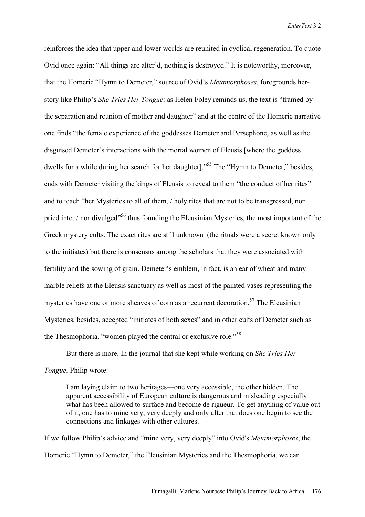reinforces the idea that upper and lower worlds are reunited in cyclical regeneration. To quote Ovid once again: "All things are alter'd, nothing is destroyed." It is noteworthy, moreover, that the Homeric "Hymn to Demeter," source of Ovid's *Metamorphoses*, foregrounds herstory like Philip's *She Tries Her Tongue*: as Helen Foley reminds us, the text is "framed by the separation and reunion of mother and daughter" and at the centre of the Homeric narrative one finds "the female experience of the goddesses Demeter and Persephone, as well as the disguised Demeter's interactions with the mortal women of Eleusis [where the goddess dwells for a while during her search for her daughter].<sup>55</sup> The "Hymn to Demeter," besides, ends with Demeter visiting the kings of Eleusis to reveal to them "the conduct of her rites" and to teach "her Mysteries to all of them, / holy rites that are not to be transgressed, nor pried into,  $\frac{1}{10}$  nor divulged<sup> $156$ </sup> thus founding the Eleusinian Mysteries, the most important of the Greek mystery cults. The exact rites are still unknown (the rituals were a secret known only to the initiates) but there is consensus among the scholars that they were associated with fertility and the sowing of grain. Demeter's emblem, in fact, is an ear of wheat and many marble reliefs at the Eleusis sanctuary as well as most of the painted vases representing the mysteries have one or more sheaves of corn as a recurrent decoration.<sup>57</sup> The Eleusinian Mysteries, besides, accepted "initiates of both sexes" and in other cults of Demeter such as the Thesmophoria, "women played the central or exclusive role."58

But there is more. In the journal that she kept while working on *She Tries Her Tongue*, Philip wrote:

I am laying claim to two heritages—one very accessible, the other hidden. The apparent accessibility of European culture is dangerous and misleading especially what has been allowed to surface and become de rigueur. To get anything of value out of it, one has to mine very, very deeply and only after that does one begin to see the connections and linkages with other cultures.

If we follow Philip's advice and "mine very, very deeply" into Ovid's *Metamorphoses*, the Homeric "Hymn to Demeter," the Eleusinian Mysteries and the Thesmophoria, we can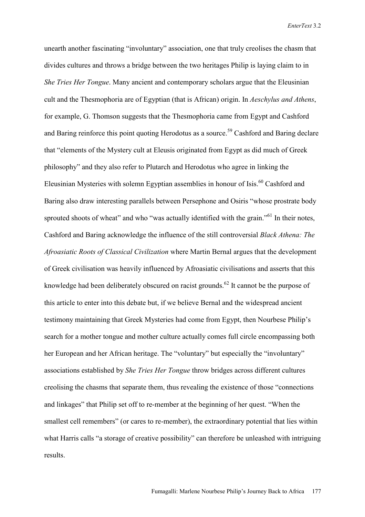unearth another fascinating "involuntary" association, one that truly creolises the chasm that divides cultures and throws a bridge between the two heritages Philip is laying claim to in *She Tries Her Tongue*. Many ancient and contemporary scholars argue that the Eleusinian cult and the Thesmophoria are of Egyptian (that is African) origin. In *Aeschylus and Athens*, for example, G. Thomson suggests that the Thesmophoria came from Egypt and Cashford and Baring reinforce this point quoting Herodotus as a source.<sup>59</sup> Cashford and Baring declare that "elements of the Mystery cult at Eleusis originated from Egypt as did much of Greek philosophy" and they also refer to Plutarch and Herodotus who agree in linking the Eleusinian Mysteries with solemn Egyptian assemblies in honour of Isis.<sup>60</sup> Cashford and Baring also draw interesting parallels between Persephone and Osiris "whose prostrate body sprouted shoots of wheat" and who "was actually identified with the grain."<sup>61</sup> In their notes, Cashford and Baring acknowledge the influence of the still controversial *Black Athena: The Afroasiatic Roots of Classical Civilization* where Martin Bernal argues that the development of Greek civilisation was heavily influenced by Afroasiatic civilisations and asserts that this knowledge had been deliberately obscured on racist grounds.<sup>62</sup> It cannot be the purpose of this article to enter into this debate but, if we believe Bernal and the widespread ancient testimony maintaining that Greek Mysteries had come from Egypt, then Nourbese Philip's search for a mother tongue and mother culture actually comes full circle encompassing both her European and her African heritage. The "voluntary" but especially the "involuntary" associations established by *She Tries Her Tongue* throw bridges across different cultures creolising the chasms that separate them, thus revealing the existence of those "connections and linkages" that Philip set off to re-member at the beginning of her quest. "When the smallest cell remembers" (or cares to re-member), the extraordinary potential that lies within what Harris calls "a storage of creative possibility" can therefore be unleashed with intriguing results.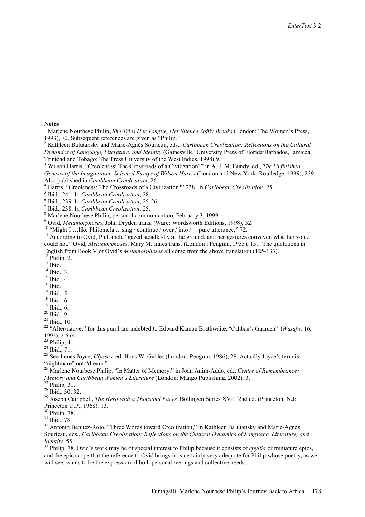#### **Notes**

 $\overline{a}$ 

<sup>4</sup> Harris, "Creoleness: The Crossroads of a Civilization?" 238. In *Caribbean Creolization*, 25.

Marlene Nourbese Philip, personal communication, February 3, 1999.

<sup>9</sup> Ovid, *Metamorphoses*, John Dryden trans. (Ware: Wordsworth Editions, 1998), 32. 10 "Might I …like Philomela …sing / continue / over / into / …pure utterance," 72.

<sup>11</sup> According to Ovid, Philomela "gazed steadfastly at the ground, and her gestures conveyed what her voice could not." Ovid, *Metamorphoses*, Mary M. Innes trans. (London : Penguin, 1955), 151. The quotations in English from Book V of Ovid's *Metamorphoses* all come from the above translation (125-133).<br><sup>12</sup> Philip, 2.

 $13$  Ibid.

<sup>14</sup> Ibid., 3. 15 Ibid., 4.

- $16$  Ibid.
- 

 $17$  Ibid., 5.

 $18$  Ibid., 6.  $19$  Ibid., 6.

- $20$  Ibid., 9.
- $21$  Ibid., 10.

<sup>22</sup> "Alter/native:" for this pun I am indebted to Edward Kamau Brathwaite, "Caliban's Guarden" (*Wasafiri* 16, 1992), 2-6 (4).

 $23$  Philip, 41.

 $^{24}$  Ibid., 71.

25 See James Joyce, *Ulysses,* ed. Hans W. Gabler (London: Penguin, 1986), 28. Actually Joyce's term is "nightmare" not "dream."

26 Marlene Nourbese Philip, "In Matter of Memory," in Joan Anim-Addo, ed., *Centre of Remembrance: Memory and Caribbean Women's Literature* (London: Mango Publishing, 2002), 3.<br><sup>27</sup> Philip, 31.

28 Ibid., 30, 32.

<sup>29</sup> Joseph Campbell, *The Hero with a Thousand Faces*, Bollingen Series XVII, 2nd ed. (Princeton, N.J: Princeton U.P., 1968), 13.<br><sup>30</sup> Philip, 78.

31 Ibid., 78.

<sup>32</sup> Antonio Benítez-Rojo, "Three Words toward Creolization," in Kathleen Balutansky and Marie-Agnès Sourieau, eds., *Caribbean Creolization: Reflections on the Cultural Dynamics of Language, Literature, and Identity*, 55.<br><sup>33</sup> Philin. 78. Ovid's work may be of special interest to Philip because it consists of *epyllia* or miniature epics,

and the epic scope that the reference to Ovid brings in is certainly very adequate for Philip whose poetry, as we will see, wants to be the expression of both personal feelings and collective needs.

<sup>1</sup> Marlene Nourbese Philip, *She Tries Her Tongue, Her Silence Softly Breaks* (London: The Women's Press, 1993), 70. Subsequent references are given as "Philip."

<sup>2</sup> Kathleen Balutansky and Marie-Agnès Sourieau, eds., *Caribbean Creolization: Reflections on the Cultural Dynamics of Language, Literature, and Identity* (Gainesville: University Press of Florida/Barbados, Jamaica, Trinidad and Tobago: The Press University of the West Indies, 1998) 9. 3

Wilson Harris, "Creoleness: The Crossroads of a Civilization?" in A. J. M. Bundy, ed., *The Unfinished Genesis of the Imagination: Selected Essays of Wilson Harris* (London and New York: Routledge, 1999), 239. Also published in *Caribbean Creolization*, 26. 4

<sup>&</sup>lt;sup>5</sup> Ibid., 241. In *Caribbean Creolization*, 28.

<sup>&</sup>lt;sup>6</sup> Ibid., 239. In *Caribbean Creolization*, 25-26.

<sup>&</sup>lt;sup>7</sup> Ibid., 238. In *Caribbean Creolization*, 25.